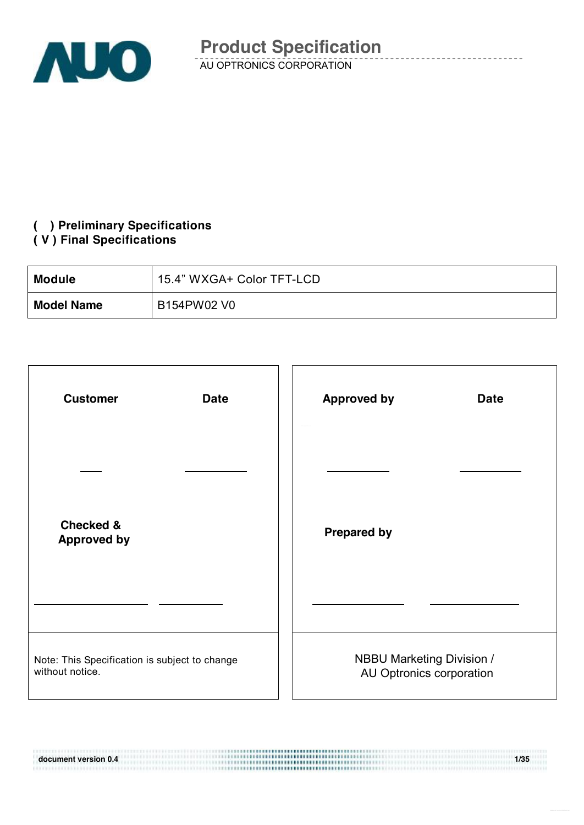

### **( ) Preliminary Specifications**

#### **( V ) Final Specifications**

11191010110101011111111

| <b>Module</b>     | 15.4" WXGA+ Color TFT-LCD |
|-------------------|---------------------------|
| <b>Model Name</b> | B154PW02 V0               |

| <b>Customer</b><br><b>Date</b>                                   | <b>Approved by</b><br><b>Date</b>                     |
|------------------------------------------------------------------|-------------------------------------------------------|
|                                                                  |                                                       |
| <b>Checked &amp;</b><br><b>Approved by</b>                       | <b>Prepared by</b>                                    |
|                                                                  |                                                       |
| Note: This Specification is subject to change<br>without notice. | NBBU Marketing Division /<br>AU Optronics corporation |

**document version 0.4** 1/35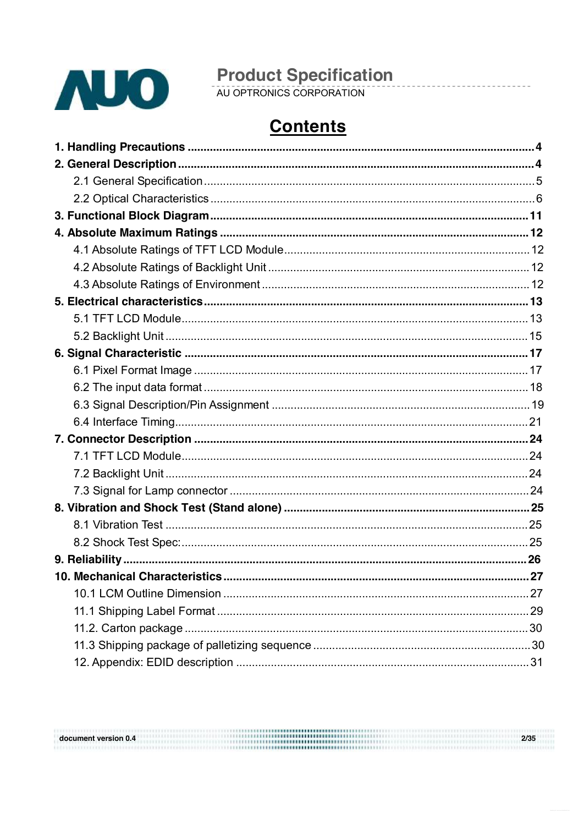

document version 0.4

# **Product Specification**<br>AU OPTRONICS CORPORATION

## **Contents**

| 27 |
|----|
|    |
|    |
|    |
|    |
|    |

 $2/35$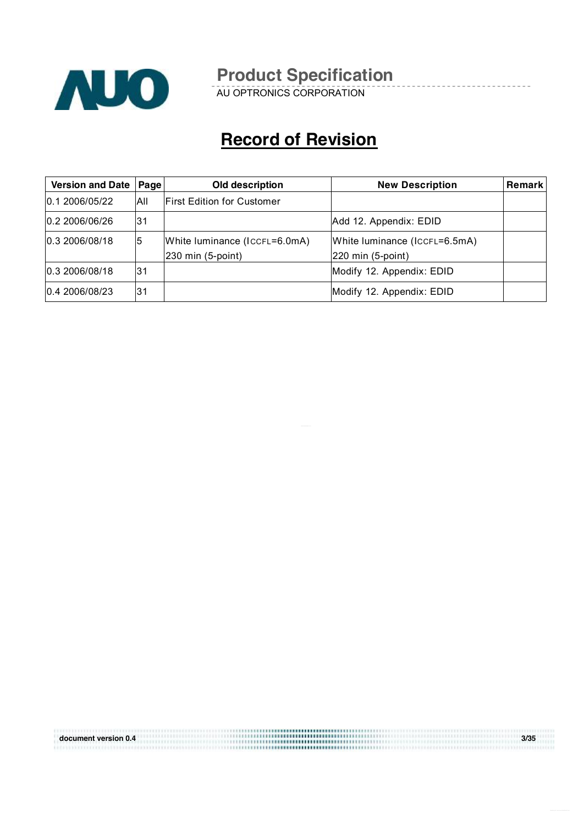

AU OPTRONICS CORPORATION

## **Record of Revision**

| Version and Date   Page |     | <b>Old description</b>                                        | <b>New Description</b>                                               | <b>Remark</b> |
|-------------------------|-----|---------------------------------------------------------------|----------------------------------------------------------------------|---------------|
| 0.1 2006/05/22          | All | <b>First Edition for Customer</b>                             |                                                                      |               |
| 0.2 2006/06/26          | l31 |                                                               | Add 12. Appendix: EDID                                               |               |
| 0.3 2006/08/18          | 5   | White luminance (ICCFL=6.0mA)<br>$ 230 \text{ min}$ (5-point) | White luminance (ICCFL=6.5mA)<br>$ 220 \text{ min} (5\text{-point})$ |               |
| 0.3 2006/08/18          | 31  |                                                               | Modify 12. Appendix: EDID                                            |               |
| 0.4 2006/08/23          | 31  |                                                               | Modify 12. Appendix: EDID                                            |               |

**document version 0.4 3/35**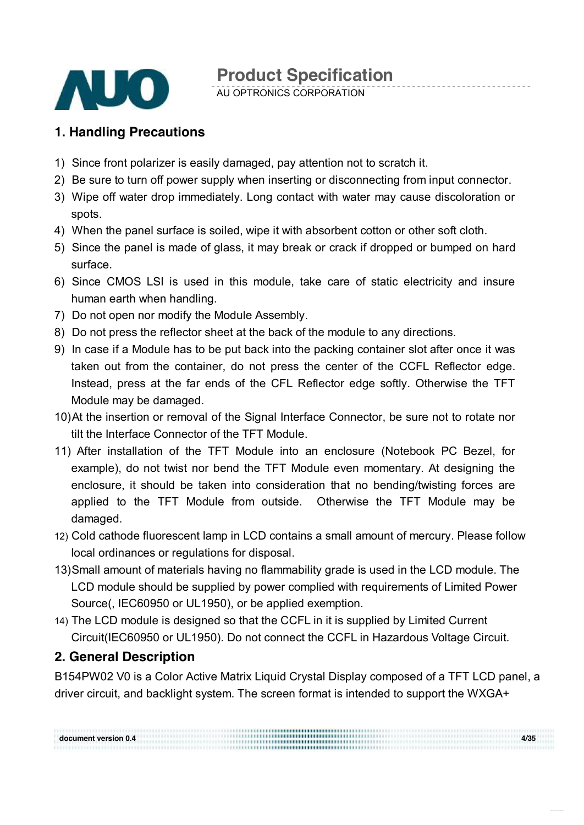

AU OPTRONICS CORPORATION

### **1. Handling Precautions**

- 1) Since front polarizer is easily damaged, pay attention not to scratch it.
- 2) Be sure to turn off power supply when inserting or disconnecting from input connector.
- 3) Wipe off water drop immediately. Long contact with water may cause discoloration or spots.
- 4) When the panel surface is soiled, wipe it with absorbent cotton or other soft cloth.
- 5) Since the panel is made of glass, it may break or crack if dropped or bumped on hard surface.
- 6) Since CMOS LSI is used in this module, take care of static electricity and insure human earth when handling.
- 7) Do not open nor modify the Module Assembly.
- 8) Do not press the reflector sheet at the back of the module to any directions.
- 9) In case if a Module has to be put back into the packing container slot after once it was taken out from the container, do not press the center of the CCFL Reflector edge. Instead, press at the far ends of the CFL Reflector edge softly. Otherwise the TFT Module may be damaged.
- 10)At the insertion or removal of the Signal Interface Connector, be sure not to rotate nor tilt the Interface Connector of the TFT Module.
- 11) After installation of the TFT Module into an enclosure (Notebook PC Bezel, for example), do not twist nor bend the TFT Module even momentary. At designing the enclosure, it should be taken into consideration that no bending/twisting forces are applied to the TFT Module from outside. Otherwise the TFT Module may be damaged.
- 12) Cold cathode fluorescent lamp in LCD contains a small amount of mercury. Please follow local ordinances or regulations for disposal.
- 13)Small amount of materials having no flammability grade is used in the LCD module. The LCD module should be supplied by power complied with requirements of Limited Power Source(, IEC60950 or UL1950), or be applied exemption.
- 14) The LCD module is designed so that the CCFL in it is supplied by Limited Current Circuit(IEC60950 or UL1950). Do not connect the CCFL in Hazardous Voltage Circuit.

### **2. General Description**

B154PW02 V0 is a Color Active Matrix Liquid Crystal Display composed of a TFT LCD panel, a driver circuit, and backlight system. The screen format is intended to support the WXGA+

**document version 0.4 4/35**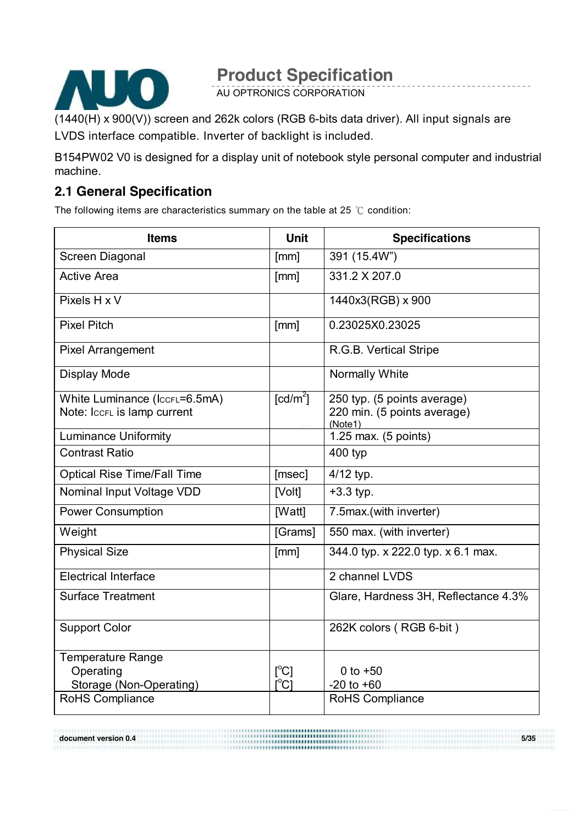

AU OPTRONICS CORPORATION

(1440(H) x 900(V)) screen and 262k colors (RGB 6-bits data driver). All input signals are LVDS interface compatible. Inverter of backlight is included.

B154PW02 V0 is designed for a display unit of notebook style personal computer and industrial machine.

### **2.1 General Specification**

The following items are characteristics summary on the table at 25 ℃ condition:

| <b>Items</b>                       | <b>Unit</b>            | <b>Specifications</b>                  |
|------------------------------------|------------------------|----------------------------------------|
| Screen Diagonal                    | [mm]                   | 391 (15.4W")                           |
| <b>Active Area</b>                 | [mm]                   | 331.2 X 207.0                          |
| Pixels H x V                       |                        | 1440x3(RGB) x 900                      |
| <b>Pixel Pitch</b>                 | [mm]                   | 0.23025X0.23025                        |
| <b>Pixel Arrangement</b>           |                        | R.G.B. Vertical Stripe                 |
| Display Mode                       |                        | Normally White                         |
| White Luminance (IccrL=6.5mA)      | $\lceil cd/m^2 \rceil$ | 250 typ. (5 points average)            |
| Note: IccFL is lamp current        |                        | 220 min. (5 points average)<br>(Note1) |
| <b>Luminance Uniformity</b>        |                        | 1.25 max. $(5 \text{ points})$         |
| <b>Contrast Ratio</b>              |                        | 400 typ                                |
| <b>Optical Rise Time/Fall Time</b> | [msec]                 | 4/12 typ.                              |
| Nominal Input Voltage VDD          | [Volt]                 | $+3.3$ typ.                            |
| <b>Power Consumption</b>           | [Watt]                 | 7.5max.(with inverter)                 |
| Weight                             | [Grams]                | 550 max. (with inverter)               |
| <b>Physical Size</b>               | [mm]                   | 344.0 typ. x 222.0 typ. x 6.1 max.     |
| <b>Electrical Interface</b>        |                        | 2 channel LVDS                         |
| <b>Surface Treatment</b>           |                        | Glare, Hardness 3H, Reflectance 4.3%   |
| <b>Support Color</b>               |                        | 262K colors (RGB 6-bit)                |
| <b>Temperature Range</b>           |                        |                                        |
| Operating                          | [°C]                   | 0 to $+50$                             |
| Storage (Non-Operating)            | $\Gamma^{\circ}$ Cl    | $-20$ to $+60$                         |
| RoHS Compliance                    |                        | <b>RoHS Compliance</b>                 |

**document version 0.4 5/35**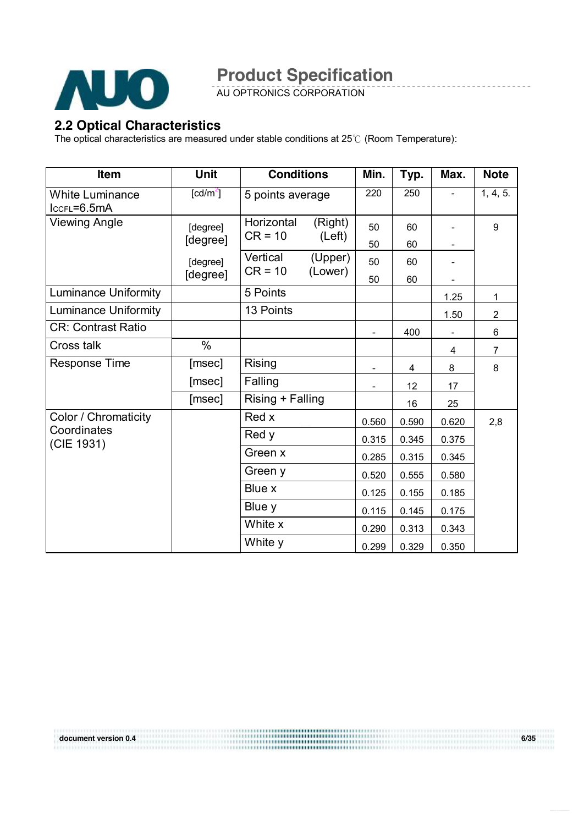

AU OPTRONICS CORPORATION

### **2.2 Optical Characteristics**

The optical characteristics are measured under stable conditions at 25℃ (Room Temperature):

| <b>Item</b>                               | <b>Unit</b>          | <b>Conditions</b>     |                    | Min.  | Typ.  | Max.                     | <b>Note</b>    |
|-------------------------------------------|----------------------|-----------------------|--------------------|-------|-------|--------------------------|----------------|
| <b>White Luminance</b><br>$lccFL = 6.5mA$ | [cd/m <sup>2</sup> ] | 5 points average      |                    | 220   | 250   | $\overline{\phantom{a}}$ | 1, 4, 5.       |
| <b>Viewing Angle</b>                      | [degree]             | Horizontal            | (Right)            | 50    | 60    |                          | 9              |
|                                           | [degree]             | $CR = 10$             | (Left)             | 50    | 60    |                          |                |
|                                           | [degree]             | Vertical<br>$CR = 10$ | (Upper)<br>(Lower) | 50    | 60    |                          |                |
|                                           | [degree]             |                       |                    | 50    | 60    |                          |                |
| <b>Luminance Uniformity</b>               |                      | 5 Points              |                    |       |       | 1.25                     | 1              |
| <b>Luminance Uniformity</b>               |                      | 13 Points             |                    |       |       | 1.50                     | $\overline{2}$ |
| <b>CR: Contrast Ratio</b>                 |                      |                       |                    |       | 400   | $\overline{\phantom{a}}$ | 6              |
| Cross talk                                | $\%$                 |                       |                    |       |       | 4                        | $\overline{7}$ |
| Response Time                             | [msec]               | <b>Rising</b>         |                    |       | 4     | 8                        | 8              |
|                                           | [msec]               | Falling               |                    |       | 12    | 17                       |                |
|                                           | [msec]               | Rising + Falling      |                    |       | 16    | 25                       |                |
| Color / Chromaticity                      |                      | Red x                 |                    | 0.560 | 0.590 | 0.620                    | 2,8            |
| Coordinates<br>(CIE 1931)                 |                      | Red y                 |                    | 0.315 | 0.345 | 0.375                    |                |
|                                           |                      | Green x               |                    | 0.285 | 0.315 | 0.345                    |                |
|                                           |                      | Green y               |                    | 0.520 | 0.555 | 0.580                    |                |
|                                           |                      | Blue x                |                    | 0.125 | 0.155 | 0.185                    |                |
|                                           |                      | Blue y                |                    | 0.115 | 0.145 | 0.175                    |                |
|                                           |                      | White x               |                    | 0.290 | 0.313 | 0.343                    |                |
|                                           |                      | White y               |                    | 0.299 | 0.329 | 0.350                    |                |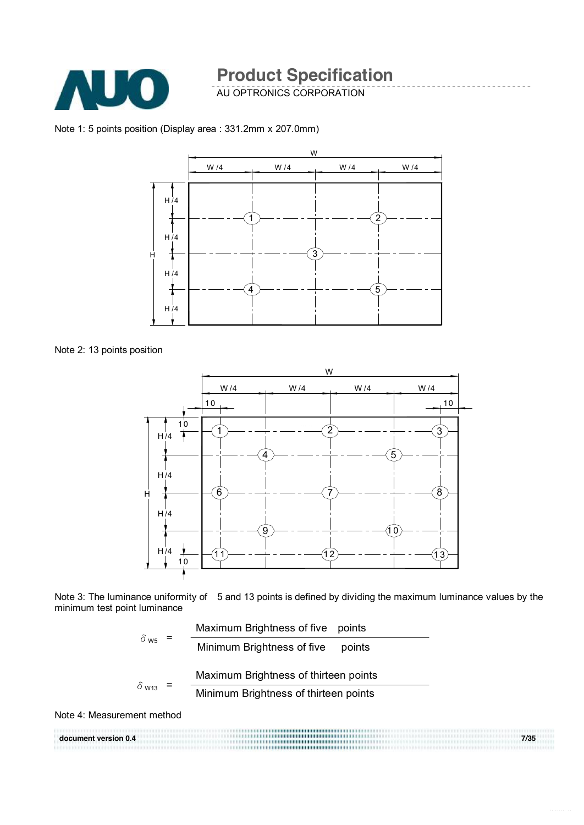

AU OPTRONICS CORPORATION

Note 1: 5 points position (Display area : 331.2mm x 207.0mm)



Note 2: 13 points position



Note 3: The luminance uniformity of 5 and 13 points is defined by dividing the maximum luminance values by the minimum test point luminance



Note 4: Measurement method

|                      | ,,,,,,,,,,,,,,,,,,,,,,,,,,,,,,,,,,,          |      |
|----------------------|----------------------------------------------|------|
| document version 0.4 | ,,,,,,,, <b>,,,,,,,,,,,,,,,,,,,</b> ,,,,,,,  | 7/35 |
|                      | ,,,,,,, <b>,,,,,,,,,,,,,,,,,,</b> ,,,,,,,,,, |      |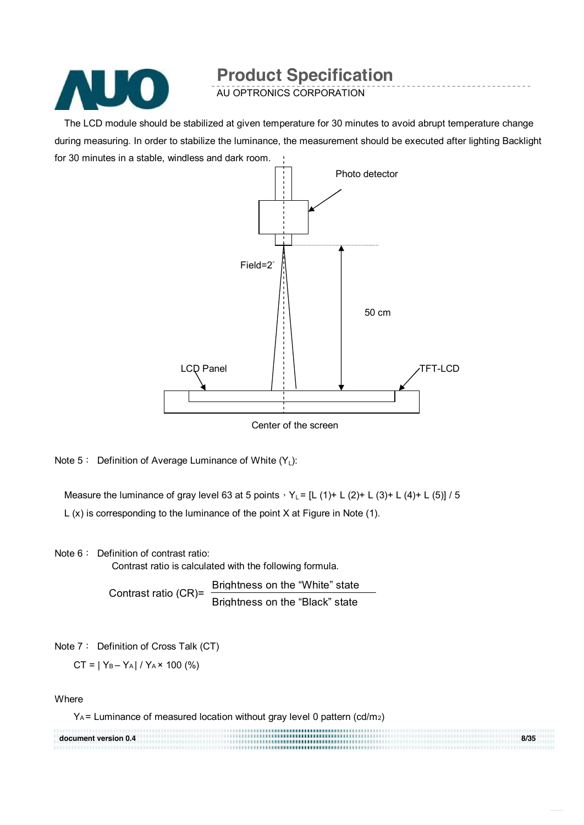

AU OPTRONICS CORPORATION

The LCD module should be stabilized at given temperature for 30 minutes to avoid abrupt temperature change during measuring. In order to stabilize the luminance, the measurement should be executed after lighting Backlight for 30 minutes in a stable, windless and dark room.



Center of the screen

Note 5: Definition of Average Luminance of White  $(Y_1)$ :

Measure the luminance of gray level 63 at 5 points,  $Y_L = [L (1) + L (2) + L (3) + L (4) + L (5)] / 5$ L (x) is corresponding to the luminance of the point X at Figure in Note (1).

Note 6: Definition of contrast ratio:

Contrast ratio is calculated with the following formula.

Contrast ratio (CR)= Brightness on the "White" state Brightness on the "Black" state

Note 7: Definition of Cross Talk (CT)

 $CT = |Y_B - Y_A| / Y_A \times 100$  (%)

**Where** 

YA = Luminance of measured location without gray level 0 pattern (cd/m2)

| document version 0.4 | ,,,,,,,,,,,,,,,,,,,,,,,,,,,,,,,,,,,,, | 8/35 |
|----------------------|---------------------------------------|------|
|                      |                                       |      |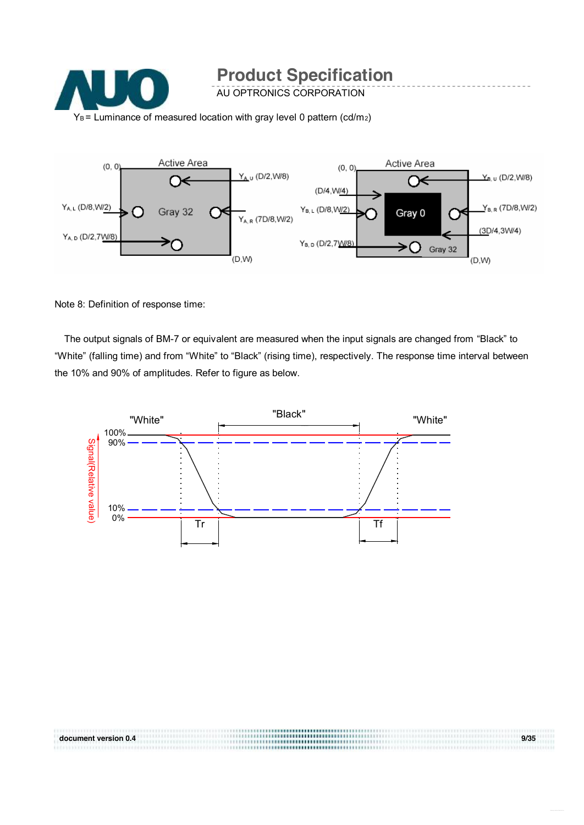



Note 8: Definition of response time:

The output signals of BM-7 or equivalent are measured when the input signals are changed from "Black" to "White" (falling time) and from "White" to "Black" (rising time), respectively. The response time interval between the 10% and 90% of amplitudes. Refer to figure as below.



**document version 0.4 9/35**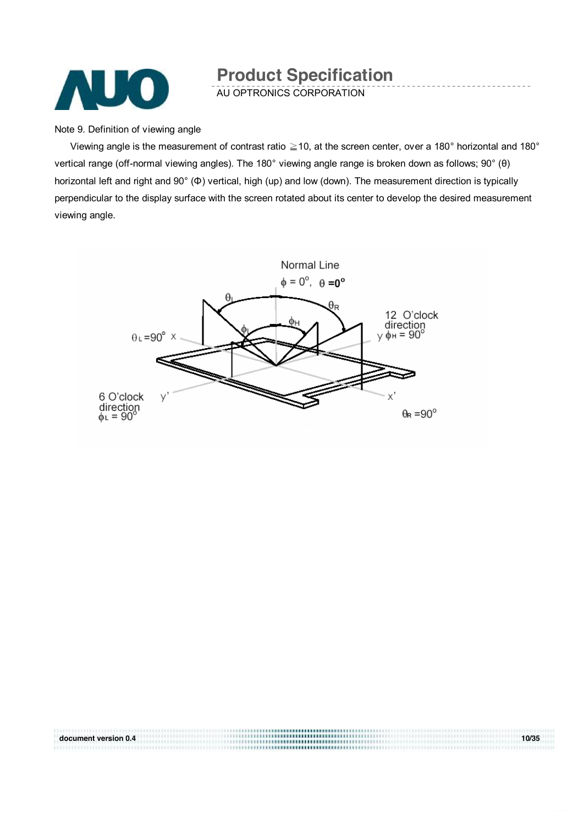

AU OPTRONICS CORPORATION

Note 9. Definition of viewing angle

Viewing angle is the measurement of contrast ratio  $\geq$  10, at the screen center, over a 180° horizontal and 180° vertical range (off-normal viewing angles). The 180° viewing angle range is broken down as follows; 90° (θ) horizontal left and right and 90° (Φ) vertical, high (up) and low (down). The measurement direction is typically perpendicular to the display surface with the screen rotated about its center to develop the desired measurement viewing angle.



**document version 0.4** 10/35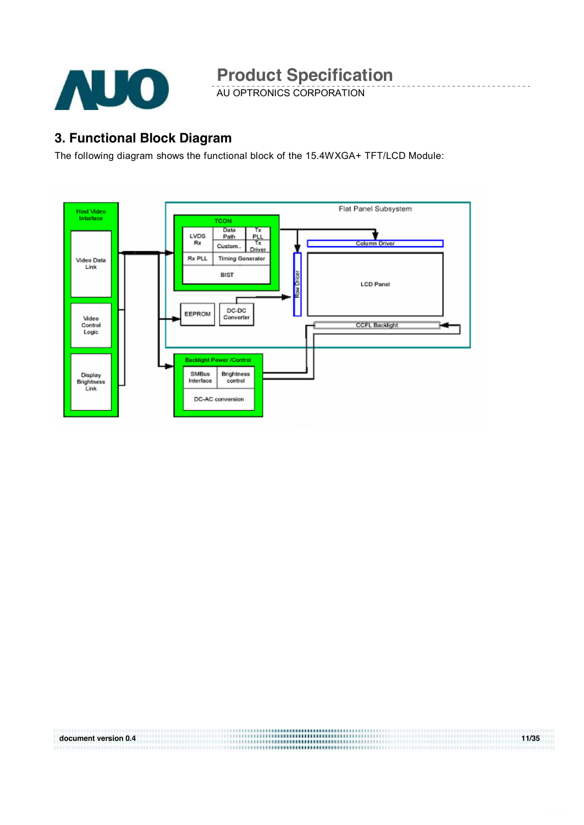

AU OPTRONICS CORPORATION

### **3. Functional Block Diagram**

The following diagram shows the functional block of the 15.4WXGA+ TFT/LCD Module:



**document version 0.4 11/35**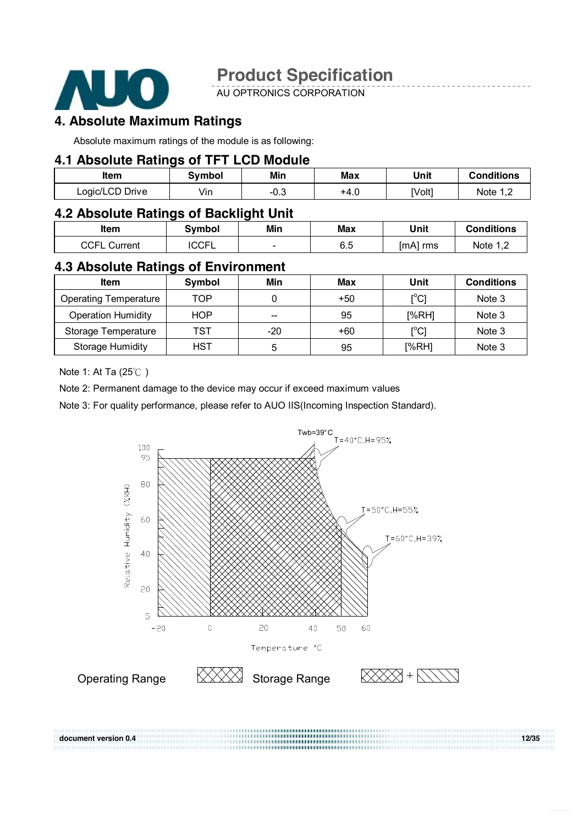

AU OPTRONICS CORPORATION

### **4. Absolute Maximum Ratings**

Absolute maximum ratings of the module is as following:

#### **4.1 Absolute Ratings of TFT LCD Module**

| ltem            | Svmbol | Min    | Max  | Unit   | <b>Conditions</b> |
|-----------------|--------|--------|------|--------|-------------------|
| Logic/LCD Drive | Vin    | $-0.3$ | +4.u | [Volt] | Note 1 T          |

#### **4.2 Absolute Ratings of Backlight Unit**

| Item                | <b>Symbol</b> | Min | Max | Unit        | <b>Conditions</b> |
|---------------------|---------------|-----|-----|-------------|-------------------|
| <b>CCFL Current</b> | <b>ICCFL</b>  |     | 6.5 | [mA]<br>rms | Note 1,2          |

### **4.3 Absolute Ratings of Environment**

| <b>Item</b>                  | Symbol     | Min   | Max   | Unit                                    | <b>Conditions</b> |
|------------------------------|------------|-------|-------|-----------------------------------------|-------------------|
| <b>Operating Temperature</b> | TOP        |       | $+50$ | $\mathsf{I}^\circ\mathsf{C} \mathsf{I}$ | Note 3            |
| <b>Operation Humidity</b>    | <b>HOP</b> | --    | 95    | [%RH]                                   | Note 3            |
| Storage Temperature          | TST        | $-20$ | $+60$ | [°C]                                    | Note 3            |
| <b>Storage Humidity</b>      | HST        | b     | 95    | [%RH]                                   | Note 3            |

Note 1: At Ta (25℃ )

Note 2: Permanent damage to the device may occur if exceed maximum values

Note 3: For quality performance, please refer to AUO IIS(Incoming Inspection Standard).

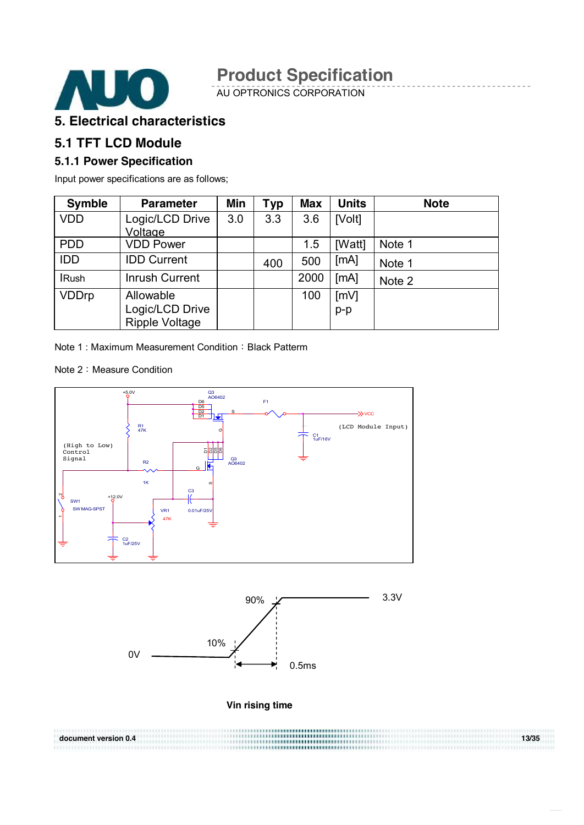

AU OPTRONICS CORPORATION

#### **5. Electrical characteristics**

#### **5.1 TFT LCD Module**

#### **5.1.1 Power Specification**

Input power specifications are as follows;

| <b>Symble</b> | <b>Parameter</b>                         | <b>Min</b> | Typ | <b>Max</b> | <b>Units</b> | <b>Note</b> |
|---------------|------------------------------------------|------------|-----|------------|--------------|-------------|
| <b>VDD</b>    | Logic/LCD Drive<br>Voltage               | 3.0        | 3.3 | 3.6        | [Volt]       |             |
| <b>PDD</b>    | <b>VDD Power</b>                         |            |     | 1.5        | [Watt]       | Note 1      |
| <b>IDD</b>    | <b>IDD Current</b>                       |            | 400 | 500        | [mA]         | Note 1      |
| <b>IRush</b>  | <b>Inrush Current</b>                    |            |     | 2000       | [MA]         | Note 2      |
| <b>VDDrp</b>  | Allowable                                |            |     | 100        | [mV]         |             |
|               | Logic/LCD Drive<br><b>Ripple Voltage</b> |            |     |            | $p-p$        |             |

Note 1: Maximum Measurement Condition: Black Patterm

Note 2: Measure Condition





**Vin rising time**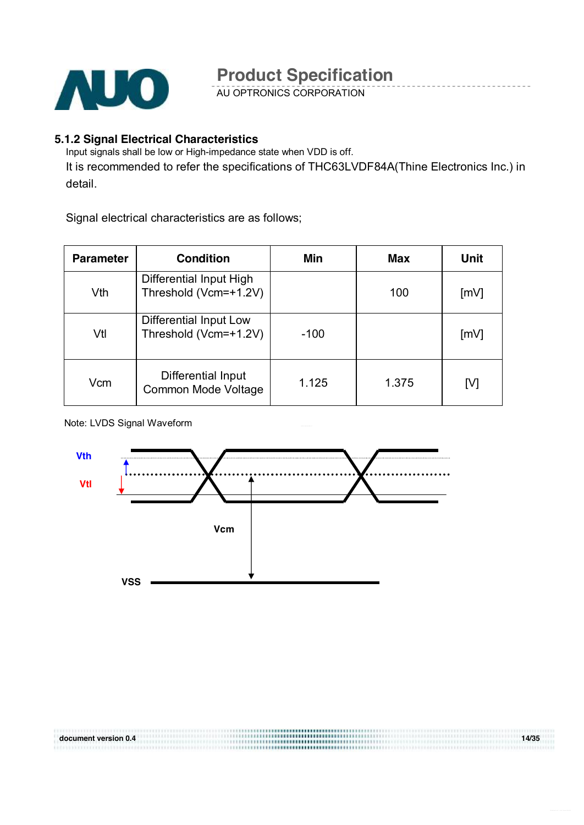

AU OPTRONICS CORPORATION

#### **5.1.2 Signal Electrical Characteristics**

Input signals shall be low or High-impedance state when VDD is off.

It is recommended to refer the specifications of THC63LVDF84A(Thine Electronics Inc.) in detail.

Signal electrical characteristics are as follows;

| <b>Parameter</b> | <b>Condition</b>                                 | Min    | <b>Max</b> | <b>Unit</b> |
|------------------|--------------------------------------------------|--------|------------|-------------|
| Vth              | Differential Input High<br>Threshold (Vcm=+1.2V) |        | 100        | [mV]        |
| Vtl              | Differential Input Low<br>Threshold (Vcm=+1.2V)  | $-100$ |            | [mV]        |
| Vcm              | Differential Input<br>Common Mode Voltage        | 1.125  | 1.375      | [V]         |

Note: LVDS Signal Waveform



**document version 0.4 14/35**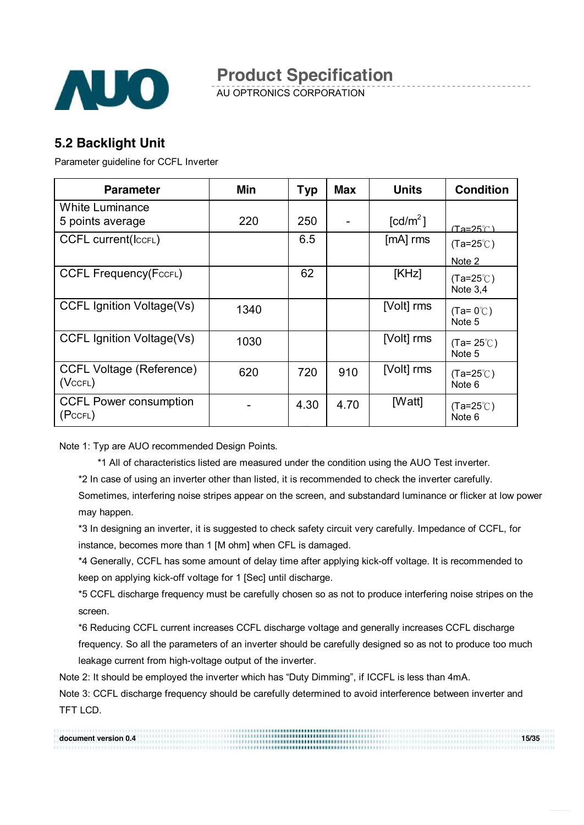

AU OPTRONICS CORPORATION

### **5.2 Backlight Unit**

Parameter guideline for CCFL Inverter

| <b>Parameter</b>                                 | <b>Min</b> | <b>Typ</b> | <b>Max</b> | <b>Units</b>           | <b>Condition</b>                           |
|--------------------------------------------------|------------|------------|------------|------------------------|--------------------------------------------|
| <b>White Luminance</b><br>5 points average       | 220        | 250        |            | $\lceil cd/m^2 \rceil$ | $(Ta=25^\circ \textcirc C)$                |
| <b>CCFL current(ICCFL)</b>                       |            | 6.5        |            | $[mA]$ rms             | $(Ta=25^{\circ}C)$                         |
| <b>CCFL Frequency(FccFL)</b>                     |            | 62         |            | [KHz]                  | Note 2<br>$(Ta=25^{\circ}C)$<br>Note $3,4$ |
| <b>CCFL Ignition Voltage(Vs)</b>                 | 1340       |            |            | [Volt] rms             | $(Ta=0^{\circ}C)$<br>Note 5                |
| <b>CCFL Ignition Voltage(Vs)</b>                 | 1030       |            |            | [Volt] rms             | $(Ta=25^{\circ}$ C)<br>Note 5              |
| <b>CCFL Voltage (Reference)</b><br>$(Vc$ CFL $)$ | 620        | 720        | 910        | [Volt] rms             | $(Ta=25^{\circ}C)$<br>Note 6               |
| <b>CCFL Power consumption</b><br>(PccFL)         |            | 4.30       | 4.70       | [Watt]                 | $(Ta=25^{\circ}C)$<br>Note 6               |

Note 1: Typ are AUO recommended Design Points.

\*1 All of characteristics listed are measured under the condition using the AUO Test inverter.

\*2 In case of using an inverter other than listed, it is recommended to check the inverter carefully.

Sometimes, interfering noise stripes appear on the screen, and substandard luminance or flicker at low power may happen.

\*3 In designing an inverter, it is suggested to check safety circuit very carefully. Impedance of CCFL, for instance, becomes more than 1 [M ohm] when CFL is damaged.

\*4 Generally, CCFL has some amount of delay time after applying kick-off voltage. It is recommended to keep on applying kick-off voltage for 1 [Sec] until discharge.

\*5 CCFL discharge frequency must be carefully chosen so as not to produce interfering noise stripes on the screen.

\*6 Reducing CCFL current increases CCFL discharge voltage and generally increases CCFL discharge

frequency. So all the parameters of an inverter should be carefully designed so as not to produce too much leakage current from high-voltage output of the inverter.

Note 2: It should be employed the inverter which has "Duty Dimming", if ICCFL is less than 4mA.

Note 3: CCFL discharge frequency should be carefully determined to avoid interference between inverter and TFT LCD.

| document version 0.4 | ,,,,,,,,,,,,,,,,,,,,,,,,,,,,,,,,,,,<br>,,,,,,,,,,,,,,,,,,,,,,,,,,,,,,,,,,, | 15/35 |
|----------------------|----------------------------------------------------------------------------|-------|
|                      | ,,,,,,,,,,,,,,,,,,,,,,,,,,,,,,,,,,,,                                       |       |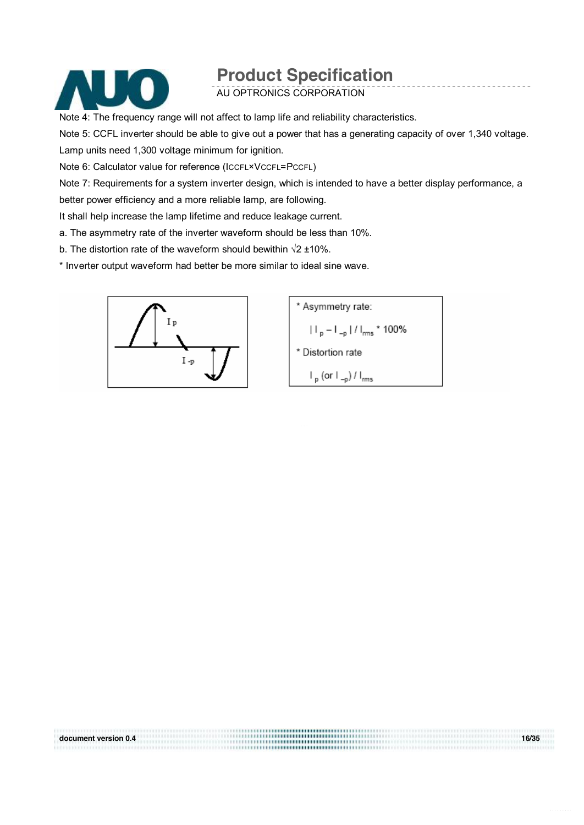

AU OPTRONICS CORPORATION

Note 4: The frequency range will not affect to lamp life and reliability characteristics.

Note 5: CCFL inverter should be able to give out a power that has a generating capacity of over 1,340 voltage. Lamp units need 1,300 voltage minimum for ignition.

Note 6: Calculator value for reference (ICCFL\*VCCFL=PCCFL)

Note 7: Requirements for a system inverter design, which is intended to have a better display performance, a better power efficiency and a more reliable lamp, are following.

**document version 0.4 16/35** 

It shall help increase the lamp lifetime and reduce leakage current.

a. The asymmetry rate of the inverter waveform should be less than 10%.

b. The distortion rate of the waveform should bewithin √2 ±10%.

\* Inverter output waveform had better be more similar to ideal sine wave.



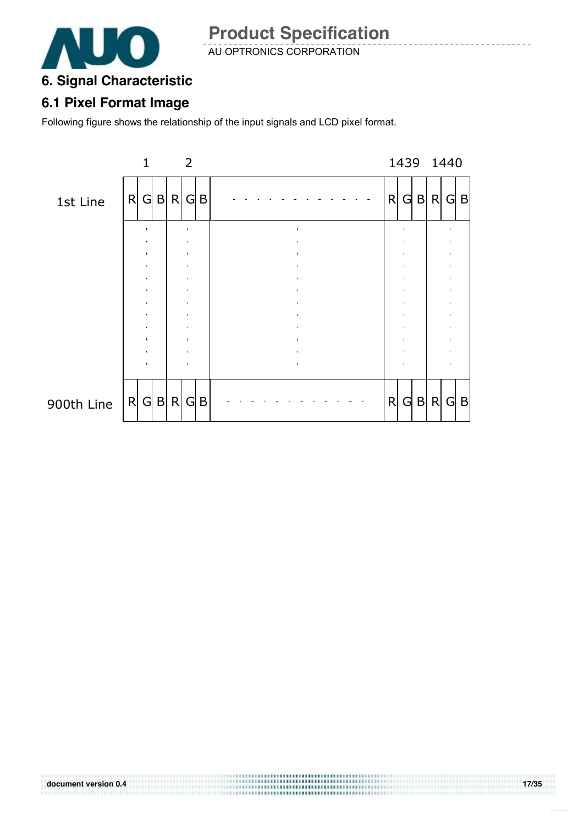

AU OPTRONICS CORPORATION

### **6. Signal Characteristic**

### **6.1 Pixel Format Image**

Following figure shows the relationship of the input signals and LCD pixel format.



..................................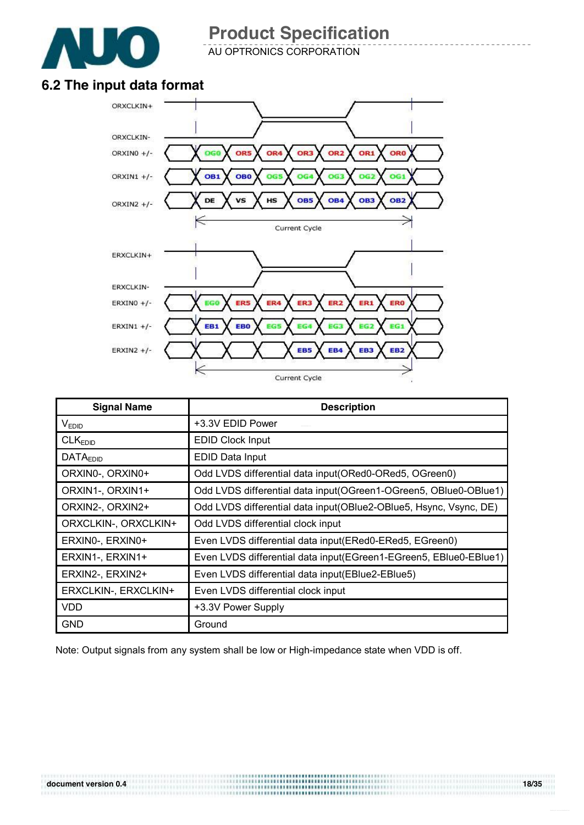

AU OPTRONICS CORPORATION

### **6.2 The input data format**



| <b>Signal Name</b>   | <b>Description</b>                                                 |
|----------------------|--------------------------------------------------------------------|
| V <sub>EDID</sub>    | +3.3V EDID Power                                                   |
| CLK <sub>EDID</sub>  | <b>EDID Clock Input</b>                                            |
| <b>DATAEDID</b>      | <b>EDID Data Input</b>                                             |
| ORXIN0-, ORXIN0+     | Odd LVDS differential data input (ORed0-ORed5, OGreen0)            |
| ORXIN1-, ORXIN1+     | Odd LVDS differential data input (OGreen1-OGreen5, OBIue0-OBIue1)  |
| ORXIN2-, ORXIN2+     | Odd LVDS differential data input(OBlue2-OBlue5, Hsync, Vsync, DE)  |
| ORXCLKIN-, ORXCLKIN+ | Odd LVDS differential clock input                                  |
| ERXINO-, ERXINO+     | Even LVDS differential data input(ERed0-ERed5, EGreen0)            |
| ERXIN1-, ERXIN1+     | Even LVDS differential data input (EGreen1-EGreen5, EBIue0-EBIue1) |
| ERXIN2-, ERXIN2+     | Even LVDS differential data input(EBlue2-EBlue5)                   |
| ERXCLKIN-, ERXCLKIN+ | Even LVDS differential clock input                                 |
| <b>VDD</b>           | +3.3V Power Supply                                                 |
| <b>GND</b>           | Ground                                                             |

Note: Output signals from any system shall be low or High-impedance state when VDD is off.

..................................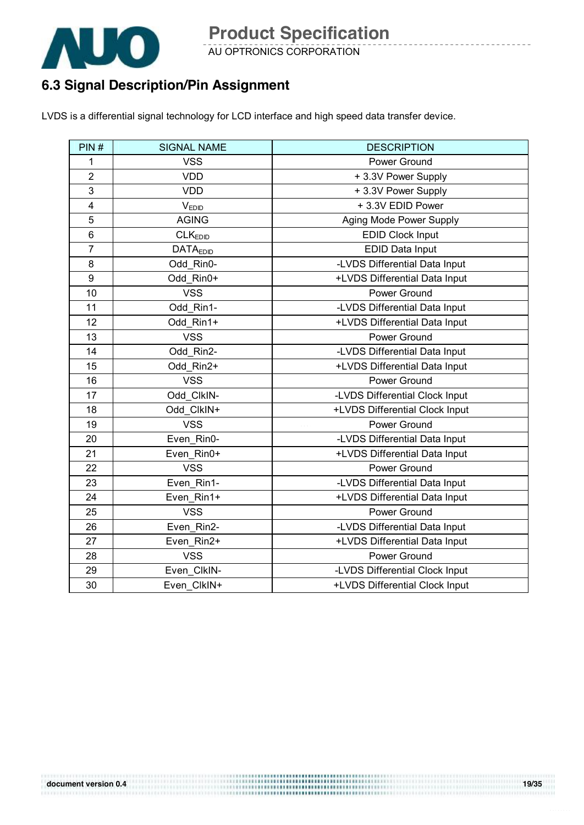

AU OPTRONICS CORPORATION

### **6.3 Signal Description/Pin Assignment**

LVDS is a differential signal technology for LCD interface and high speed data transfer device.

| PIN#                    | <b>SIGNAL NAME</b>  | <b>DESCRIPTION</b>             |
|-------------------------|---------------------|--------------------------------|
| 1                       | <b>VSS</b>          | Power Ground                   |
| $\overline{2}$          | <b>VDD</b>          | +3.3V Power Supply             |
| 3                       | <b>VDD</b>          | +3.3V Power Supply             |
| $\overline{\mathbf{4}}$ | VEDID               | +3.3V EDID Power               |
| 5                       | <b>AGING</b>        | Aging Mode Power Supply        |
| 6                       | CLK <sub>EDID</sub> | <b>EDID Clock Input</b>        |
| $\overline{7}$          | <b>DATAEDID</b>     | EDID Data Input                |
| 8                       | Odd Rin0-           | -LVDS Differential Data Input  |
| 9                       | Odd_Rin0+           | +LVDS Differential Data Input  |
| 10                      | <b>VSS</b>          | Power Ground                   |
| 11                      | Odd Rin1-           | -LVDS Differential Data Input  |
| 12                      | Odd Rin1+           | +LVDS Differential Data Input  |
| 13                      | <b>VSS</b>          | Power Ground                   |
| 14                      | Odd Rin2-           | -LVDS Differential Data Input  |
| 15                      | Odd_Rin2+           | +LVDS Differential Data Input  |
| 16                      | <b>VSS</b>          | Power Ground                   |
| 17                      | Odd_ClkIN-          | -LVDS Differential Clock Input |
| 18                      | Odd ClkIN+          | +LVDS Differential Clock Input |
| 19                      | <b>VSS</b>          | Power Ground                   |
| 20                      | Even Rin0-          | -LVDS Differential Data Input  |
| 21                      | Even Rin0+          | +LVDS Differential Data Input  |
| 22                      | <b>VSS</b>          | Power Ground                   |
| 23                      | Even Rin1-          | -LVDS Differential Data Input  |
| 24                      | Even_Rin1+          | +LVDS Differential Data Input  |
| 25                      | <b>VSS</b>          | Power Ground                   |
| 26                      | Even_Rin2-          | -LVDS Differential Data Input  |
| 27                      | Even_Rin2+          | +LVDS Differential Data Input  |
| 28                      | <b>VSS</b>          | Power Ground                   |
| 29                      | Even ClkIN-         | -LVDS Differential Clock Input |
| 30                      | Even ClkIN+         | +LVDS Differential Clock Input |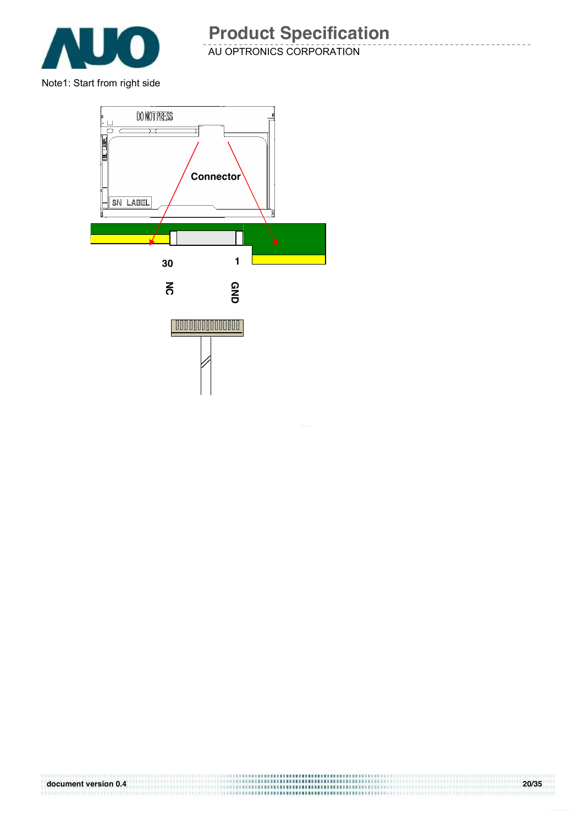

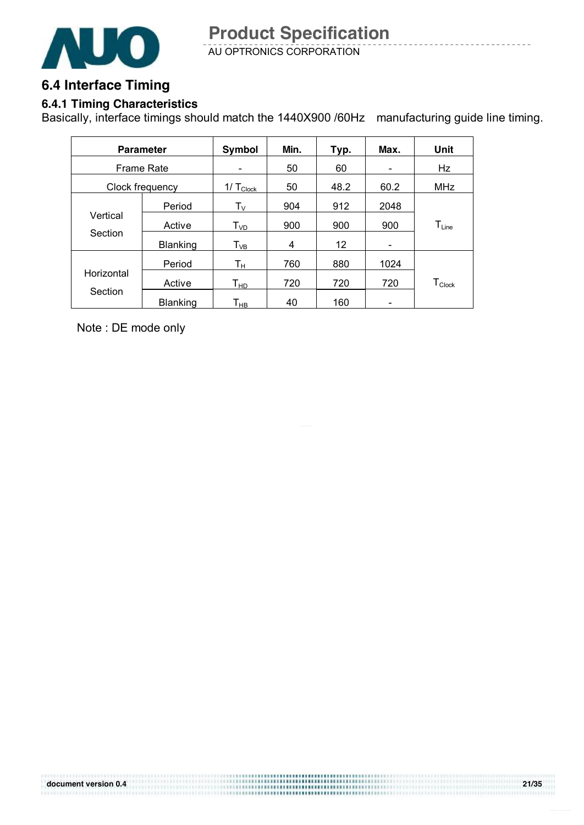

### **6.4 Interface Timing**

### **6.4.1 Timing Characteristics**

Basically, interface timings should match the 1440X900 /60Hz manufacturing guide line timing.

|                     | <b>Parameter</b> | Symbol                      | Min. | Typ. | Max.                     | Unit                           |
|---------------------|------------------|-----------------------------|------|------|--------------------------|--------------------------------|
| Frame Rate          |                  |                             | 50   | 60   | $\overline{\phantom{0}}$ | Hz                             |
| Clock frequency     |                  | $1/\text{T}_{\text{Clock}}$ | 50   | 48.2 | 60.2                     | MHz                            |
|                     | Period           | $T_{V}$                     | 904  | 912  | 2048                     |                                |
| Vertical<br>Section | Active           | $T_{VD}$                    | 900  | 900  | 900                      | $T_{Line}$                     |
|                     | <b>Blanking</b>  | $T_{VB}$                    | 4    | 12   |                          |                                |
|                     | Period           | Tн                          | 760  | 880  | 1024                     |                                |
| Horizontal          | Active           | $\mathsf{T}_{\mathsf{HD}}$  | 720  | 720  | 720                      | ${\mathsf T}_{\mathsf{Clock}}$ |
| Section             | <b>Blanking</b>  | Т <sub>нв</sub>             | 40   | 160  |                          |                                |

Note : DE mode only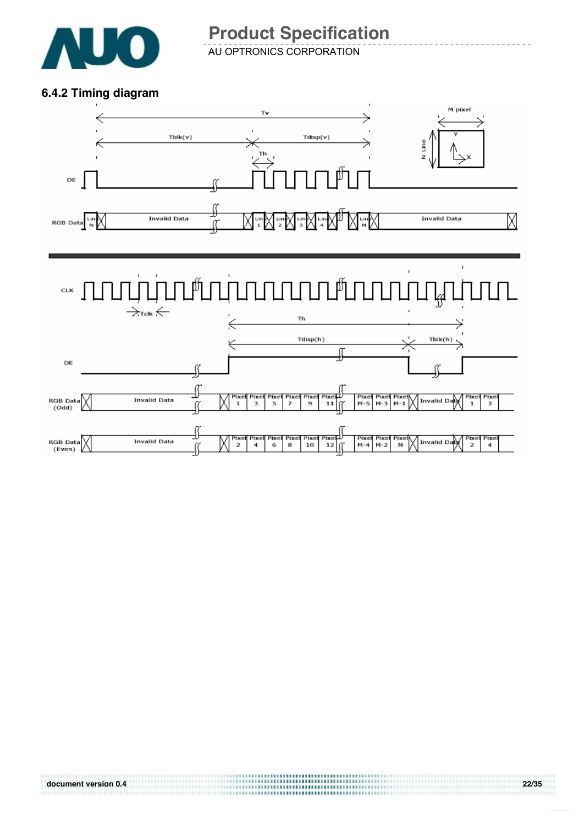

AU OPTRONICS CORPORATION

#### **6.4.2 Timing diagram**

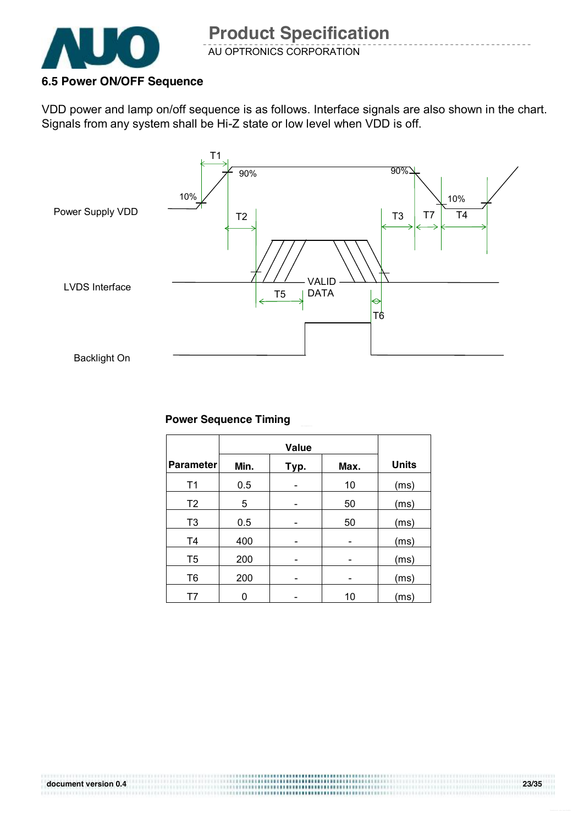

#### **6.5 Power ON/OFF Sequence**

VDD power and lamp on/off sequence is as follows. Interface signals are also shown in the chart. Signals from any system shall be Hi-Z state or low level when VDD is off.



#### **Power Sequence Timing**

|                  | Value |      |      |              |
|------------------|-------|------|------|--------------|
| <b>Parameter</b> | Min.  | Typ. | Max. | <b>Units</b> |
| T <sub>1</sub>   | 0.5   |      | 10   | (ms)         |
| T <sub>2</sub>   | 5     |      | 50   | (ms)         |
| T <sub>3</sub>   | 0.5   |      | 50   | (ms)         |
| T <sub>4</sub>   | 400   |      |      | (ms)         |
| T <sub>5</sub>   | 200   |      |      | (ms)         |
| T <sub>6</sub>   | 200   |      |      | (ms)         |
| T7               |       |      | 10   | (ms)         |

..................... ,,,,,,,,,,,,,,,,,,,,,,,,,,,,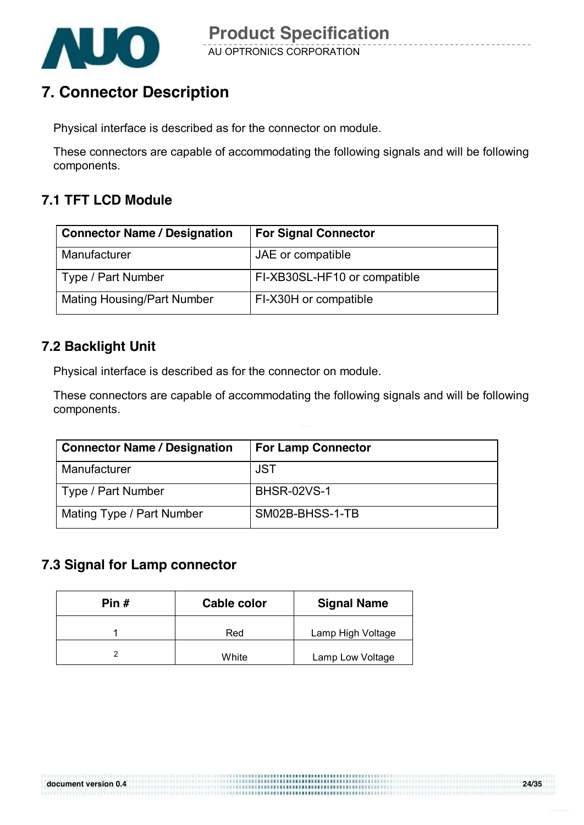

### **7. Connector Description**

Physical interface is described as for the connector on module.

These connectors are capable of accommodating the following signals and will be following components.

### **7.1 TFT LCD Module**

| <b>Connector Name / Designation</b> | <b>For Signal Connector</b>  |
|-------------------------------------|------------------------------|
| Manufacturer                        | JAE or compatible            |
| Type / Part Number                  | FI-XB30SL-HF10 or compatible |
| <b>Mating Housing/Part Number</b>   | FI-X30H or compatible        |

### **7.2 Backlight Unit**

Physical interface is described as for the connector on module.

These connectors are capable of accommodating the following signals and will be following components.

,,,,,,,,,,,,,,,,,,,,,,,,,,,,,

| <b>Connector Name / Designation</b> | <b>For Lamp Connector</b> |
|-------------------------------------|---------------------------|
| Manufacturer                        | JST                       |
| Type / Part Number                  | <b>BHSR-02VS-1</b>        |
| Mating Type / Part Number           | SM02B-BHSS-1-TB           |

#### **7.3 Signal for Lamp connector**

| Pin $#$ | <b>Cable color</b> | <b>Signal Name</b> |
|---------|--------------------|--------------------|
|         | Red                | Lamp High Voltage  |
|         | White              | Lamp Low Voltage   |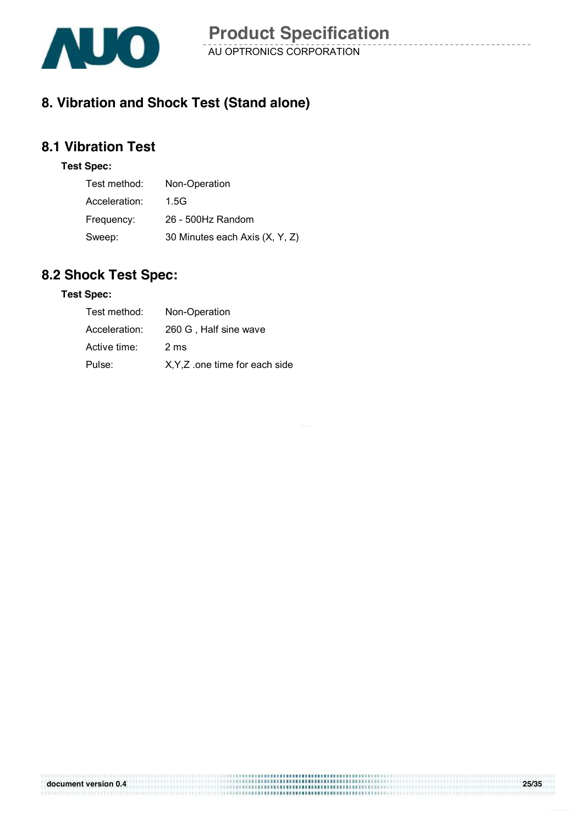

### **8. Vibration and Shock Test (Stand alone)**

### **8.1 Vibration Test**

#### **Test Spec:**

| Test method:  | Non-Operation                  |
|---------------|--------------------------------|
| Acceleration: | 1.5G                           |
| Frequency:    | 26 - 500Hz Random              |
| Sweep:        | 30 Minutes each Axis (X, Y, Z) |

### **8.2 Shock Test Spec:**

#### **Test Spec:**

| Test method:  | Non-Operation                  |
|---------------|--------------------------------|
| Acceleration: | 260 G, Half sine wave          |
| Active time:  | 2 ms                           |
| Pulse:        | X, Y, Z one time for each side |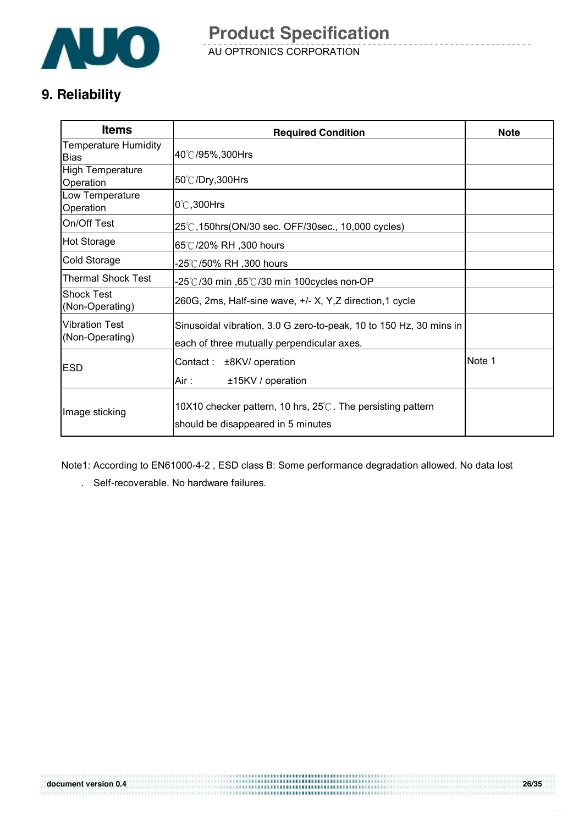

AU OPTRONICS CORPORATION **Product Specification** 

### **9. Reliability**

| <b>Items</b>                             | <b>Required Condition</b>                                                                                        | <b>Note</b> |
|------------------------------------------|------------------------------------------------------------------------------------------------------------------|-------------|
| Temperature Humidity<br><b>Bias</b>      | 40℃/95%,300Hrs                                                                                                   |             |
| <b>High Temperature</b><br>Operation     | 50℃/Dry,300Hrs                                                                                                   |             |
| Low Temperature<br>Operation             | $0^\circ$ C,300Hrs                                                                                               |             |
| On/Off Test                              | 25℃,150hrs(ON/30 sec. OFF/30sec., 10,000 cycles)                                                                 |             |
| <b>Hot Storage</b>                       | 65℃/20% RH, 300 hours                                                                                            |             |
| Cold Storage                             | -25℃/50% RH ,300 hours                                                                                           |             |
| Thermal Shock Test                       | -25℃/30 min ,65℃/30 min 100cycles non-OP                                                                         |             |
| <b>Shock Test</b><br>(Non-Operating)     | 260G, 2ms, Half-sine wave, +/- X, Y, Z direction, 1 cycle                                                        |             |
| <b>Vibration Test</b><br>(Non-Operating) | Sinusoidal vibration, 3.0 G zero-to-peak, 10 to 150 Hz, 30 mins in<br>each of three mutually perpendicular axes. |             |
| <b>ESD</b>                               | Contact :<br>±8KV/ operation<br>Air :<br>±15KV / operation                                                       | Note 1      |
| Image sticking                           | 10X10 checker pattern, 10 hrs, 25°C. The persisting pattern<br>should be disappeared in 5 minutes                |             |

Note1: According to EN61000-4-2 , ESD class B: Some performance degradation allowed. No data lost

...................... 

. Self-recoverable. No hardware failures.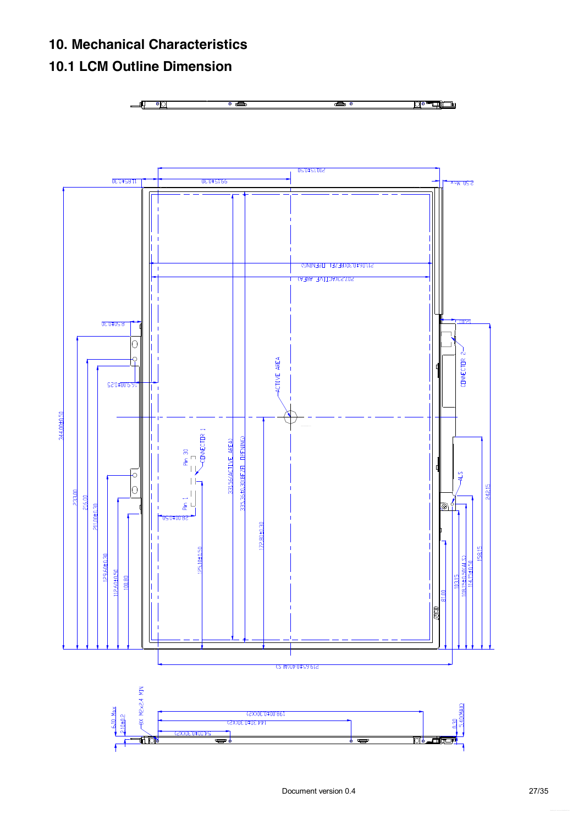### **10. Mechanical Characteristics**

### **10.1 LCM Outline Dimension**

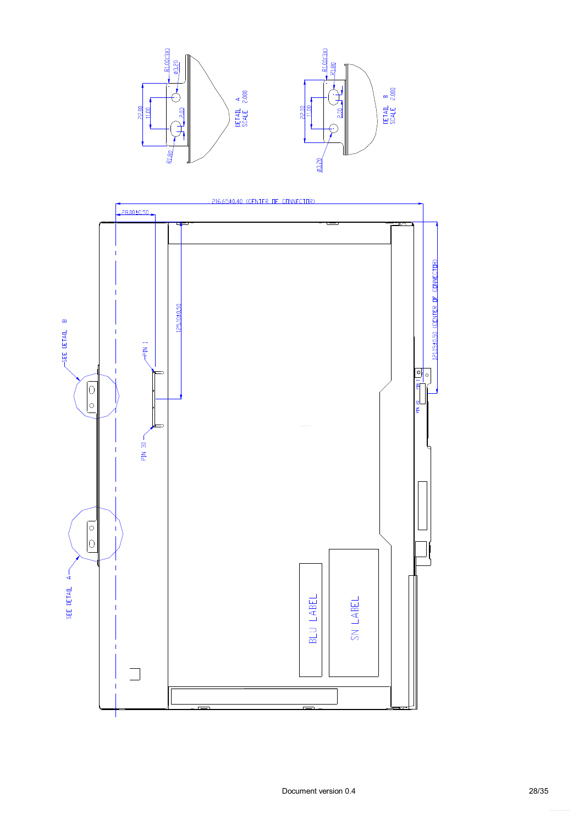

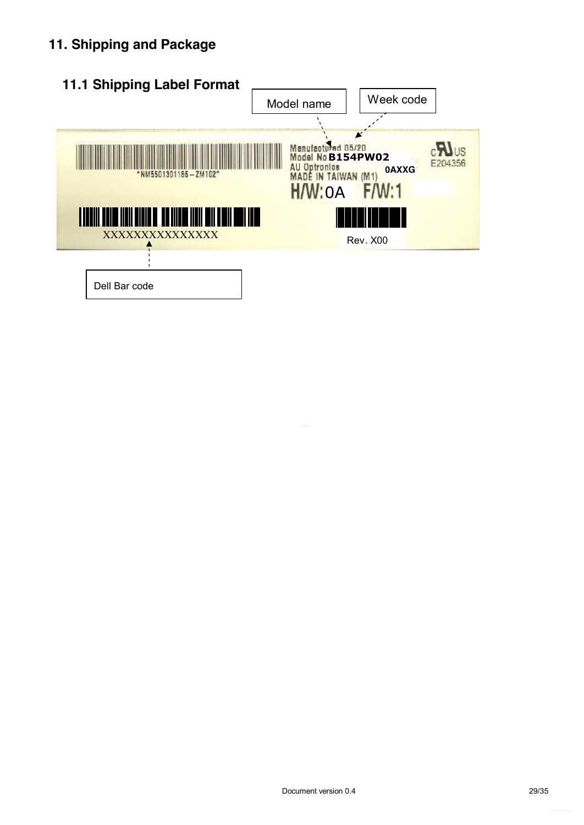### **11. Shipping and Package**

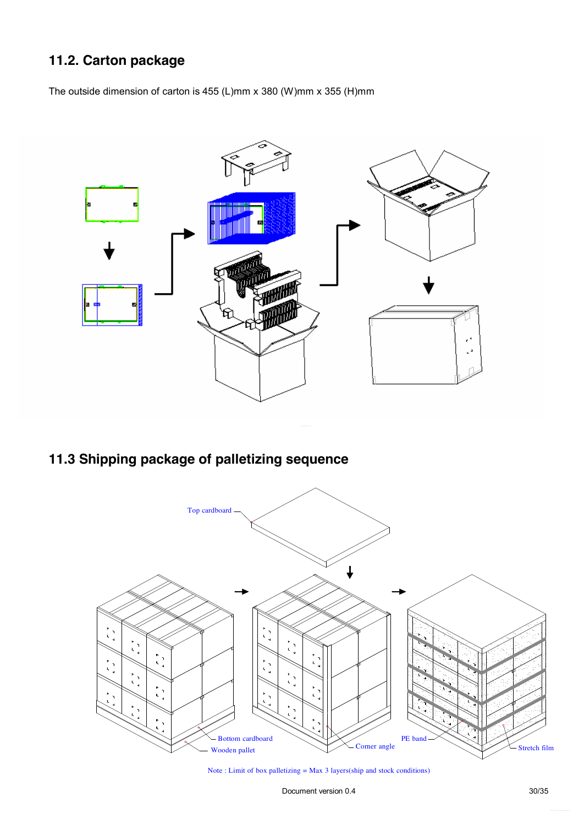### **11.2. Carton package**

The outside dimension of carton is 455 (L)mm x 380 (W)mm x 355 (H)mm



### **11.3 Shipping package of palletizing sequence**



Note : Limit of box palletizing = Max 3 layers(ship and stock conditions)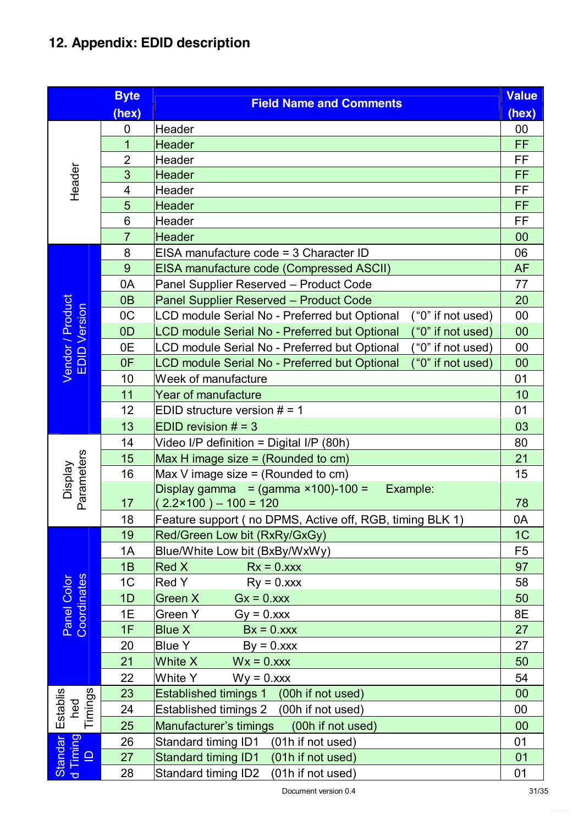## **12. Appendix: EDID description**

|                                                       | <b>Byte</b>    | <b>Field Name and Comments</b>                                                             | <b>Value</b>   |
|-------------------------------------------------------|----------------|--------------------------------------------------------------------------------------------|----------------|
|                                                       | (hex)          |                                                                                            | (hex)          |
|                                                       | 0              | <b>Header</b>                                                                              | 00             |
|                                                       | $\mathbf 1$    | <b>Header</b>                                                                              | <b>FF</b>      |
|                                                       | $\overline{2}$ | Header                                                                                     | FF             |
| Header                                                | 3              | <b>Header</b>                                                                              | FF             |
|                                                       | 4              | Header                                                                                     | FF             |
|                                                       | 5              | <b>Header</b>                                                                              | <b>FF</b>      |
|                                                       | 6              | Header                                                                                     | FF             |
|                                                       | $\overline{7}$ | <b>Header</b>                                                                              | 00             |
|                                                       | 8              | EISA manufacture code = 3 Character ID                                                     | 06             |
|                                                       | 9              | EISA manufacture code (Compressed ASCII)                                                   | <b>AF</b>      |
|                                                       | 0A             | Panel Supplier Reserved - Product Code                                                     | 77             |
|                                                       | 0 <sub>B</sub> | Panel Supplier Reserved - Product Code                                                     | 20             |
|                                                       | 0 <sub>C</sub> | LCD module Serial No - Preferred but Optional<br>("0" if not used)                         | 00             |
|                                                       | OD             | LCD module Serial No - Preferred but Optional<br>("0" if not used)                         | 00             |
| Vendor / Product<br>EDID Version                      | 0E             | LCD module Serial No - Preferred but Optional<br>("0" if not used)                         | 00             |
|                                                       | 0F             | LCD module Serial No - Preferred but Optional<br>("0" if not used)                         | 00             |
|                                                       | 10             | Week of manufacture                                                                        | 01             |
|                                                       | 11             | <b>Year of manufacture</b>                                                                 | 10             |
|                                                       | 12             | EDID structure version $# = 1$                                                             | 01             |
|                                                       | 13             | EDID revision $# = 3$                                                                      | 03             |
|                                                       | 14             | Video I/P definition = Digital I/P (80h)                                                   | 80             |
|                                                       | 15             | Max H image size $=$ (Rounded to cm)                                                       | 21             |
|                                                       | 16             | Max V image size $=$ (Rounded to cm)                                                       | 15             |
| Parameters<br><b>Display</b>                          | 17             | Display gamma = $(gamma \times 100) - 100 =$<br>Example:<br>$2.2 \times 100$ ) – 100 = 120 | 78             |
|                                                       | 18             | Feature support (no DPMS, Active off, RGB, timing BLK 1)                                   | 0A             |
|                                                       | 19             | Red/Green Low bit (RxRy/GxGy)                                                              | 1C             |
|                                                       | 1A             | Blue/White Low bit (BxBy/WxWy)                                                             | F <sub>5</sub> |
|                                                       | 1B             | <b>Red X</b><br>$Rx = 0.xxx$                                                               | 97             |
|                                                       | 1 <sub>C</sub> | <b>Red Y</b><br>$Ry = 0.xxx$                                                               | 58             |
| Panel Color<br>Coordinates                            | 1D             | Green X<br>$Gx = 0.xxx$                                                                    | 50             |
|                                                       | 1E             | Green Y<br>$Gy = 0.xxx$                                                                    | 8E             |
|                                                       | 1F             | <b>Blue X</b><br>$Bx = 0.xxx$                                                              | 27             |
|                                                       | 20             | <b>Blue Y</b><br>$By = 0.xxx$                                                              | 27             |
|                                                       | 21             | White X<br>$Wx = 0.xxx$                                                                    | 50             |
|                                                       | 22             | White Y<br>$Wy = 0.xxx$                                                                    | 54             |
|                                                       | 23             | Established timings 1 (00h if not used)                                                    | 00             |
| Timings<br>Establis<br>hed                            | 24             | <b>Established timings 2</b><br>(00h if not used)                                          | $00\,$         |
|                                                       | 25             | Manufacturer's timings<br>(00h if not used)                                                | 00             |
|                                                       | 26             | (01h if not used)<br>Standard timing ID1                                                   | 01             |
| d Timing<br>Standar<br>$\mathbf{\underline{\square}}$ | 27             | Standard timing ID1<br>(01h if not used)                                                   | 01             |
|                                                       | 28             | Standard timing ID2<br>(01h if not used)                                                   | 01             |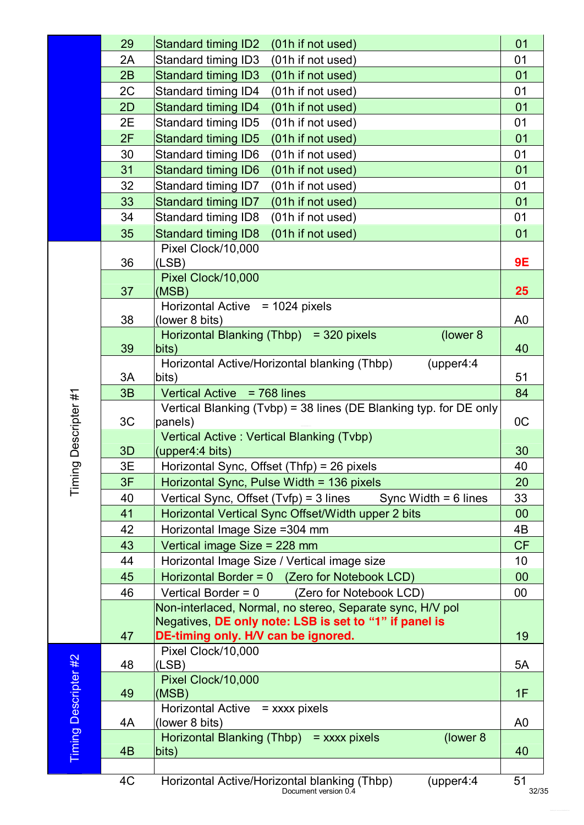|                             | 29 | Standard timing ID2 (01h if not used)                                                                         | 01             |
|-----------------------------|----|---------------------------------------------------------------------------------------------------------------|----------------|
|                             | 2A | Standard timing ID3<br>(01h if not used)                                                                      | 01             |
|                             | 2B | <b>Standard timing ID3</b><br>(01h if not used)                                                               | 01             |
|                             | 2C | Standard timing ID4<br>(01h if not used)                                                                      | 01             |
|                             | 2D | Standard timing ID4<br>(01h if not used)                                                                      | 01             |
|                             | 2E | Standard timing ID5<br>(01h if not used)                                                                      | 01             |
|                             | 2F | <b>Standard timing ID5</b><br>(01h if not used)                                                               | 01             |
|                             | 30 | Standard timing ID6<br>(01h if not used)                                                                      | 01             |
|                             | 31 | <b>Standard timing ID6</b><br>(01h if not used)                                                               | 01             |
|                             | 32 | Standard timing ID7<br>(01h if not used)                                                                      | 01             |
|                             | 33 | Standard timing ID7<br>(01h if not used)                                                                      | 01             |
|                             | 34 | Standard timing ID8<br>(01h if not used)                                                                      | 01             |
|                             | 35 | <b>Standard timing ID8</b><br>(01h if not used)                                                               | 01             |
|                             |    | Pixel Clock/10,000                                                                                            |                |
|                             | 36 | (LSB)                                                                                                         | <b>9E</b>      |
|                             |    | Pixel Clock/10,000                                                                                            |                |
|                             | 37 | (MSB)                                                                                                         | 25             |
|                             | 38 | Horizontal Active = 1024 pixels                                                                               |                |
|                             |    | (lower 8 bits)<br>Horizontal Blanking (Thbp) = 320 pixels<br>(lower 8)                                        | A <sub>0</sub> |
|                             | 39 | bits)                                                                                                         | 40             |
|                             |    | Horizontal Active/Horizontal blanking (Thbp)<br>(upper4:4)                                                    |                |
|                             | 3A | bits)                                                                                                         | 51             |
|                             | 3B | Vertical Active = 768 lines                                                                                   | 84             |
|                             |    | Vertical Blanking (Tvbp) = 38 lines (DE Blanking typ. for DE only                                             |                |
|                             | 3C | panels)                                                                                                       | OC             |
| Descripter #1               |    | Vertical Active: Vertical Blanking (Tvbp)                                                                     |                |
|                             | 3D | (upper4:4 bits)                                                                                               | 30             |
| iou                         | 3E | Horizontal Sync, Offset (Thfp) = 26 pixels                                                                    | 40             |
| $\overline{T}$              | 3F | Horizontal Sync, Pulse Width = 136 pixels                                                                     | 20             |
|                             | 40 | Vertical Sync, Offset (Tvfp) = 3 lines<br>Sync Width $= 6$ lines                                              | 33             |
|                             | 41 | Horizontal Vertical Sync Offset/Width upper 2 bits                                                            | 00             |
|                             | 42 | Horizontal Image Size = 304 mm                                                                                | 4B             |
|                             | 43 | Vertical image Size = 228 mm                                                                                  | <b>CF</b>      |
|                             | 44 | Horizontal Image Size / Vertical image size                                                                   | 10             |
|                             | 45 | Horizontal Border = 0 (Zero for Notebook LCD)                                                                 | 00             |
|                             | 46 | Vertical Border = $0$<br>(Zero for Notebook LCD)<br>Non-interlaced, Normal, no stereo, Separate sync, H/V pol | 00             |
|                             |    | Negatives, DE only note: LSB is set to "1" if panel is                                                        |                |
|                             | 47 | DE-timing only. H/V can be ignored.                                                                           | 19             |
|                             |    | Pixel Clock/10,000                                                                                            |                |
|                             | 48 | (LSB)                                                                                                         | 5A             |
|                             |    | Pixel Clock/10,000                                                                                            |                |
|                             | 49 | (MSB)                                                                                                         | 1F             |
|                             |    | <b>Horizontal Active</b><br>$=$ xxxx pixels                                                                   |                |
| <b>Timing Descripter #2</b> | 4A | (lower 8 bits)                                                                                                | A <sub>0</sub> |
|                             |    | Horizontal Blanking (Thbp) = $xxxx$ pixels<br>(lower 8)                                                       |                |
|                             | 4B | bits)                                                                                                         | 40             |
|                             | 4C |                                                                                                               | 51             |
|                             |    | Horizontal Active/Horizontal blanking (Thbp)<br>(upper4:4)<br>Document version 0.4                            | 32/35          |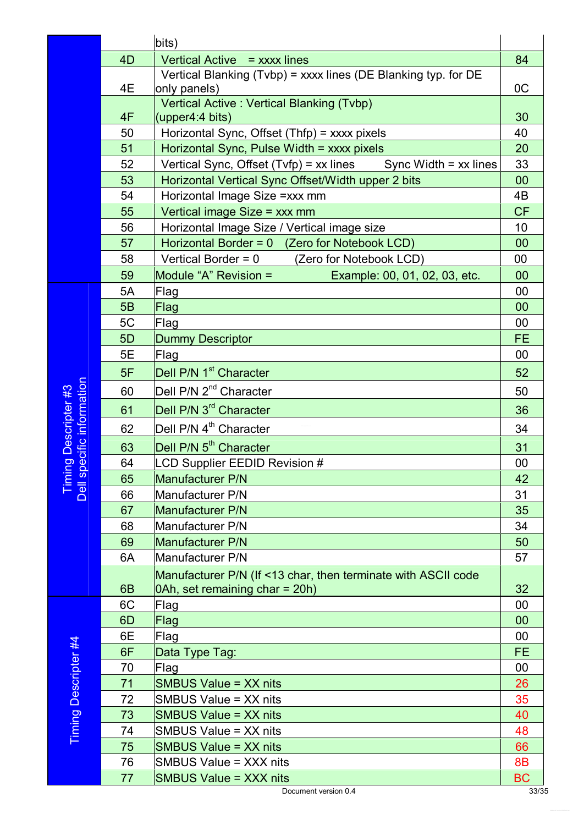|                                                                                                                                                    |                | bits)                                                                       |                        |
|----------------------------------------------------------------------------------------------------------------------------------------------------|----------------|-----------------------------------------------------------------------------|------------------------|
|                                                                                                                                                    | 4D             | Vertical Active = xxxx lines                                                | 84                     |
|                                                                                                                                                    |                | Vertical Blanking (Tvbp) = xxxx lines (DE Blanking typ. for DE              |                        |
|                                                                                                                                                    | 4E             | only panels)                                                                | 0C                     |
|                                                                                                                                                    |                | Vertical Active: Vertical Blanking (Tvbp)                                   |                        |
|                                                                                                                                                    | 4F             | (upper4:4 bits)                                                             | 30                     |
|                                                                                                                                                    | 50             | Horizontal Sync, Offset (Thfp) = xxxx pixels                                | 40                     |
|                                                                                                                                                    | 51             | Horizontal Sync, Pulse Width = xxxx pixels                                  | 20                     |
|                                                                                                                                                    | 52<br>53       | Vertical Sync, Offset $(Tvfp) = xx$ lines Sync Width = xx lines             | 33<br>00               |
|                                                                                                                                                    | 54             | Horizontal Vertical Sync Offset/Width upper 2 bits                          | 4B                     |
|                                                                                                                                                    | 55             | Horizontal Image Size = xxx mm                                              | <b>CF</b>              |
|                                                                                                                                                    | 56             | Vertical image Size = xxx mm<br>Horizontal Image Size / Vertical image size | 10                     |
|                                                                                                                                                    | 57             | Horizontal Border = $0$ (Zero for Notebook LCD)                             | 00                     |
|                                                                                                                                                    | 58             | Vertical Border = $0$<br>(Zero for Notebook LCD)                            | $00\,$                 |
|                                                                                                                                                    | 59             | Module "A" Revision =<br>Example: 00, 01, 02, 03, etc.                      | 00                     |
|                                                                                                                                                    | 5A             | Flag                                                                        | 00                     |
|                                                                                                                                                    | 5B             | Flag                                                                        | 00                     |
|                                                                                                                                                    | 5C             | Flag                                                                        | 00                     |
|                                                                                                                                                    | 5D             | <b>Dummy Descriptor</b>                                                     | <b>FE</b>              |
|                                                                                                                                                    | 5E             | Flag                                                                        | 00                     |
|                                                                                                                                                    | 5F             | Dell P/N 1 <sup>st</sup> Character                                          | 52                     |
|                                                                                                                                                    | 60             | Dell P/N 2 <sup>nd</sup> Character                                          | 50                     |
| ing Descripter #3<br>pecific information                                                                                                           | 61             | Dell P/N 3 <sup>rd</sup> Character                                          | 36                     |
|                                                                                                                                                    | 62             | Dell P/N 4 <sup>th</sup> Character                                          | 34                     |
|                                                                                                                                                    | 63             | Dell P/N 5 <sup>th</sup> Character                                          | 31                     |
|                                                                                                                                                    | 64             | <b>LCD Supplier EEDID Revision #</b>                                        | 00                     |
| <b>U</b><br>Ē                                                                                                                                      | 65             | Manufacturer P/N                                                            | 42                     |
| Dell                                                                                                                                               | 66             | Manufacturer P/N                                                            | 31                     |
|                                                                                                                                                    | 67             | Manufacturer P/N                                                            | 35                     |
|                                                                                                                                                    | 68             | Manufacturer P/N                                                            | 34                     |
|                                                                                                                                                    | 69             | <b>Manufacturer P/N</b>                                                     | 50                     |
|                                                                                                                                                    | 6A             | Manufacturer P/N                                                            | 57                     |
|                                                                                                                                                    |                | Manufacturer P/N (If <13 char, then terminate with ASCII code               |                        |
|                                                                                                                                                    | 6 <sub>B</sub> | 0Ah, set remaining char = 20h)                                              | 32                     |
|                                                                                                                                                    | 6C             | Flag                                                                        | 00                     |
|                                                                                                                                                    | 6D             | Flag                                                                        | 00                     |
|                                                                                                                                                    | 6E             | Flag                                                                        | 00                     |
|                                                                                                                                                    | 6F             | Data Type Tag:                                                              | <b>FE</b>              |
|                                                                                                                                                    | 70             | Flag                                                                        | 00                     |
| Descripter #4                                                                                                                                      | 71             | <b>SMBUS Value = XX nits</b>                                                | 26                     |
|                                                                                                                                                    | 72             | SMBUS Value = XX nits                                                       | 35                     |
|                                                                                                                                                    | 73             | <b>SMBUS Value = XX nits</b>                                                | 40                     |
| Timing<br>SMBUS Value = XX nits<br>74<br>75<br><b>SMBUS Value = XX nits</b><br>76<br>SMBUS Value = XXX nits<br>77<br><b>SMBUS Value = XXX nits</b> |                |                                                                             | 48                     |
|                                                                                                                                                    |                |                                                                             | 66                     |
|                                                                                                                                                    |                |                                                                             | <b>8B</b><br><b>BC</b> |
|                                                                                                                                                    |                |                                                                             |                        |